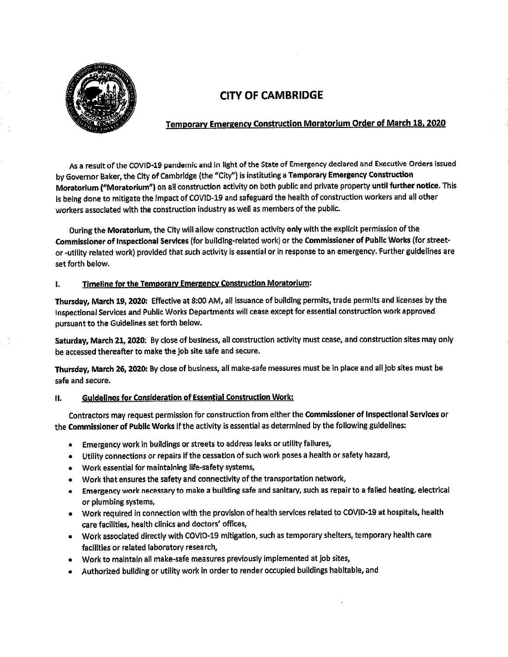

# CITY OF CAMBRIDGE

### Temporary Emergency Construction Moratorium Order of March 18,2020

As a result of the COVID-19 pandemic and in light of the State of Emergency declared and Executive Orders issued by Governor Baker, the City of Cambridge (the "City") is instituting a Temporary Emergency Construction Moratorium ("Moratorium") on all construction activity on both public and private property until further notice. This Is being done to mitigate the impact of COVID-19 and safeguard the health of construction workers and all other workers associated with the construction industry as well as members of the public.

During the Moratorium, the City will allow construction activity only with the explicit permission of the Commissioner of Inspectional Services (for building-related work) or the Commissioner of Public Works (for streetor -utility related work) provided that such activity is essential or in response to an emergency. Further guidelines are set forth below.

#### I. Timeline for the Temporary Emergency Construction Moratorium:

Thursday, March 19,2020; Effective at 8:00 AM/ all issuance of building permits, trade permits and licenses by the inspectional Services and Public Works Departments wif) cease except for essential construction work approved pursuant to the Guidelines set forth below.

Saturday, March 21, 2020: By close of business, all construction activity must cease, and construction sites may only be accessed thereafter to make the job site safe and secure.

Thursday, March 26,2020; By dose of business, all make-safe measures must be in place and all job sites must be safe and secure.

#### II. Guidelines for Consideration of Essential Construction Work:

Contractors may request permission for construction from either the Commissioner of Inspectional Services or the Commissioner of Public Works if the activity is essential as determined by the following guidelines:

- Emergency work in buildings or streets to address leaks or utility failures,
- Utility connections or repairs if the cessation of such work poses a health or safety hazard/
- Work essential for maintaining life-safety systems,
- \* Work that ensures the safety and connectivity of the transportation network/
- \* Emergency work necessary to make a building safe and sanitary/ such as repair to a failed heating, electrical or plumbing systems,
- Work required In connection with the provision of health services related to COVtD-19 at hospitals, heatth care facilities, health clinics and doctors' offices,
- Work associated directly with COVID-19 mitigation, such as temporary shetters, temporary health care facilities or related laboratory research,
- \* Work to maintain all make-safe measures previously implemented at job sites,
- Authorized building or utility work in order to render occupied buildings habitable, and